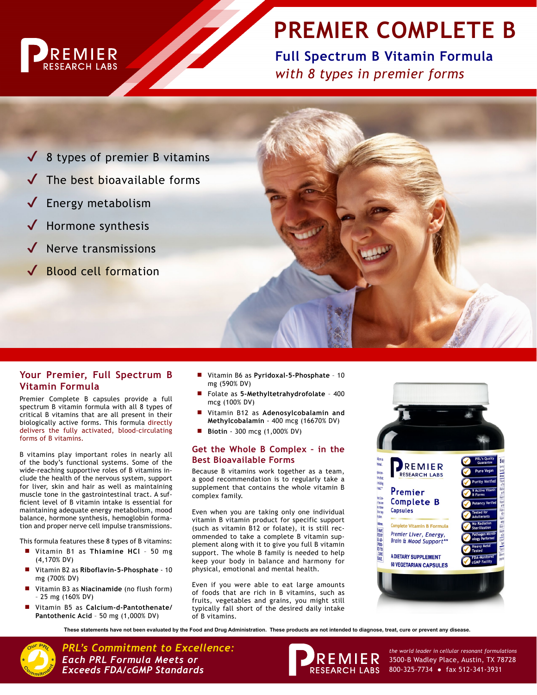

# **PREMIER COMPLETE B**

**Full Spectrum B Vitamin Formula** *with 8 types in premier forms*

 $\sqrt{8}$  types of premier B vitamins The best bioavailable forms **Energy metabolism** Hormone synthesis Nerve transmissions **Blood cell formation** 

# **Your Premier, Full Spectrum B Vitamin Formula**

Premier Complete B capsules provide a full spectrum B vitamin formula with all 8 types of critical B vitamins that are all present in their biologically active forms. This formula directly delivers the fully activated, blood-circulating forms of B vitamins.

B vitamins play important roles in nearly all of the body's functional systems. Some of the wide-reaching supportive roles of B vitamins include the health of the nervous system, support for liver, skin and hair as well as maintaining muscle tone in the gastrointestinal tract. A sufficient level of B vitamin intake is essential for maintaining adequate energy metabolism, mood balance, hormone synthesis, hemoglobin formation and proper nerve cell impulse transmissions.

This formula features these 8 types of B vitamins:

- Vitamin B1 as Thiamine HCl 50 mg (4,170% DV)
- Vitamin B2 as Riboflavin-5-Phosphate 10 mg (700% DV)
- Vitamin B3 as **Niacinamide** (no flush form) – 25 mg (160% DV)
- Vitamin B5 as *Calcium-d-Pantothenate/* **Pantothenic Acid** – 50 mg (1,000% DV)
- Ĥ Vitamin B6 as **Pyridoxal-5-Phosphate** 10 mg (590% DV)
- Folate as 5-Methyltetrahydrofolate 400 mcg (100% DV)
- Vitamin B12 as Adenosylcobalamin and **Methylcobalamin** - 400 mcg (16670% DV)
- **Biotin** 300 mcg (1,000% DV)

## **Get the Whole B Complex – in the Best Bioavailable Forms**

Because B vitamins work together as a team, a good recommendation is to regularly take a supplement that contains the whole vitamin B complex family.

Even when you are taking only one individual vitamin B vitamin product for specific support (such as vitamin B12 or folate), it is still recommended to take a complete B vitamin supplement along with it to give you full B vitamin support. The whole B family is needed to help keep your body in balance and harmony for physical, emotional and mental health.

Even if you were able to eat large amounts of foods that are rich in B vitamins, such as fruits, vegetables and grains, you might still typically fall short of the desired daily intake of B vitamins.



**These statements have not been evaluated by the Food and Drug Administration. These products are not intended to diagnose, treat, cure or prevent any disease.**



PRL's Commitment to Excellence:<br>**Each PRL Formula Meets or** *Callular In Commulations* **FOR ENIER** 3500-B Wadley Place, Austin, TX 78728 *Each PRL Formula Meets or Exceeds FDA/cGMP Standards*



3500-B Wadley Place, Austin, TX 78728 800-325-7734 ● fax 512-341-3931